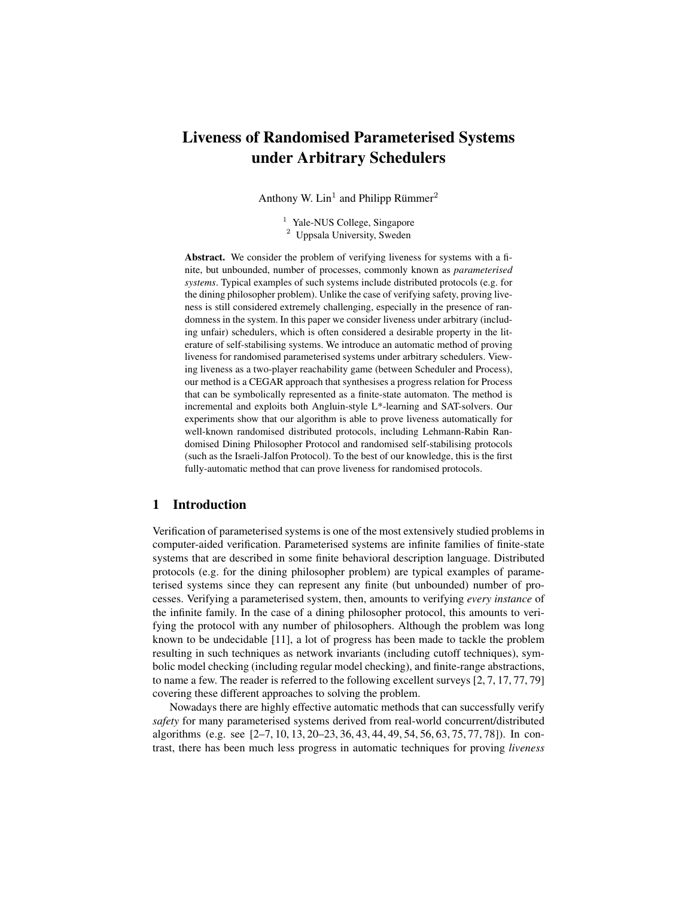# Liveness of Randomised Parameterised Systems under Arbitrary Schedulers

Anthony W.  $Lin<sup>1</sup>$  and Philipp Rümmer<sup>2</sup>

<sup>1</sup> Yale-NUS College, Singapore <sup>2</sup> Uppsala University, Sweden

Abstract. We consider the problem of verifying liveness for systems with a finite, but unbounded, number of processes, commonly known as *parameterised systems*. Typical examples of such systems include distributed protocols (e.g. for the dining philosopher problem). Unlike the case of verifying safety, proving liveness is still considered extremely challenging, especially in the presence of randomness in the system. In this paper we consider liveness under arbitrary (including unfair) schedulers, which is often considered a desirable property in the literature of self-stabilising systems. We introduce an automatic method of proving liveness for randomised parameterised systems under arbitrary schedulers. Viewing liveness as a two-player reachability game (between Scheduler and Process), our method is a CEGAR approach that synthesises a progress relation for Process that can be symbolically represented as a finite-state automaton. The method is incremental and exploits both Angluin-style L\*-learning and SAT-solvers. Our experiments show that our algorithm is able to prove liveness automatically for well-known randomised distributed protocols, including Lehmann-Rabin Randomised Dining Philosopher Protocol and randomised self-stabilising protocols (such as the Israeli-Jalfon Protocol). To the best of our knowledge, this is the first fully-automatic method that can prove liveness for randomised protocols.

# 1 Introduction

Verification of parameterised systems is one of the most extensively studied problems in computer-aided verification. Parameterised systems are infinite families of finite-state systems that are described in some finite behavioral description language. Distributed protocols (e.g. for the dining philosopher problem) are typical examples of parameterised systems since they can represent any finite (but unbounded) number of processes. Verifying a parameterised system, then, amounts to verifying *every instance* of the infinite family. In the case of a dining philosopher protocol, this amounts to verifying the protocol with any number of philosophers. Although the problem was long known to be undecidable [11], a lot of progress has been made to tackle the problem resulting in such techniques as network invariants (including cutoff techniques), symbolic model checking (including regular model checking), and finite-range abstractions, to name a few. The reader is referred to the following excellent surveys [2, 7, 17, 77, 79] covering these different approaches to solving the problem.

Nowadays there are highly effective automatic methods that can successfully verify *safety* for many parameterised systems derived from real-world concurrent/distributed algorithms (e.g. see [2–7, 10, 13, 20–23, 36, 43, 44, 49, 54, 56, 63, 75, 77, 78]). In contrast, there has been much less progress in automatic techniques for proving *liveness*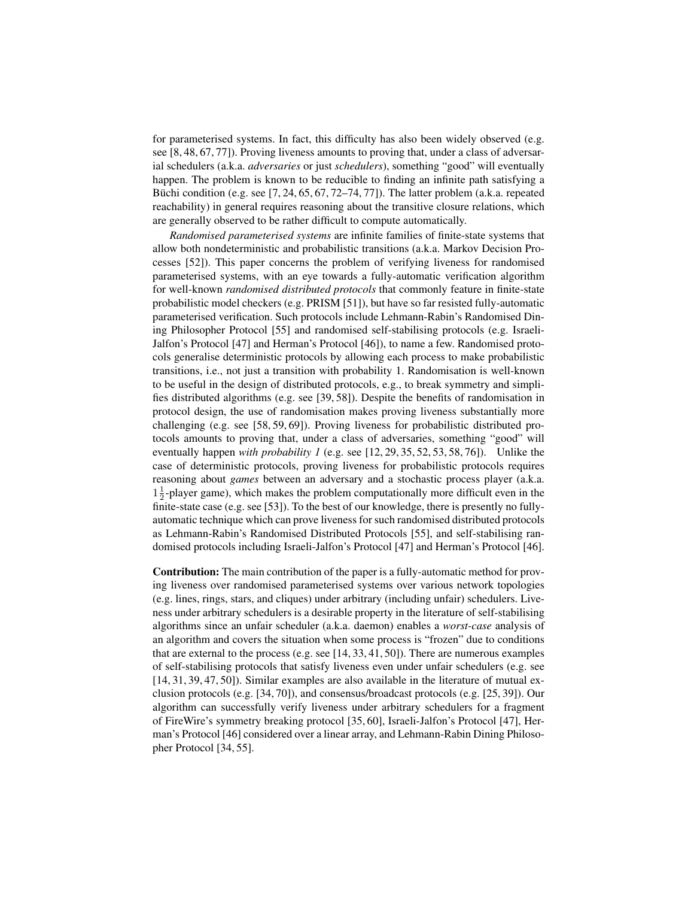for parameterised systems. In fact, this difficulty has also been widely observed (e.g. see [8, 48, 67, 77]). Proving liveness amounts to proving that, under a class of adversarial schedulers (a.k.a. *adversaries* or just *schedulers*), something "good" will eventually happen. The problem is known to be reducible to finding an infinite path satisfying a Büchi condition (e.g. see  $[7, 24, 65, 67, 72–74, 77]$ ). The latter problem (a.k.a. repeated reachability) in general requires reasoning about the transitive closure relations, which are generally observed to be rather difficult to compute automatically.

*Randomised parameterised systems* are infinite families of finite-state systems that allow both nondeterministic and probabilistic transitions (a.k.a. Markov Decision Processes [52]). This paper concerns the problem of verifying liveness for randomised parameterised systems, with an eye towards a fully-automatic verification algorithm for well-known *randomised distributed protocols* that commonly feature in finite-state probabilistic model checkers (e.g. PRISM [51]), but have so far resisted fully-automatic parameterised verification. Such protocols include Lehmann-Rabin's Randomised Dining Philosopher Protocol [55] and randomised self-stabilising protocols (e.g. Israeli-Jalfon's Protocol [47] and Herman's Protocol [46]), to name a few. Randomised protocols generalise deterministic protocols by allowing each process to make probabilistic transitions, i.e., not just a transition with probability 1. Randomisation is well-known to be useful in the design of distributed protocols, e.g., to break symmetry and simplifies distributed algorithms (e.g. see [39, 58]). Despite the benefits of randomisation in protocol design, the use of randomisation makes proving liveness substantially more challenging (e.g. see [58, 59, 69]). Proving liveness for probabilistic distributed protocols amounts to proving that, under a class of adversaries, something "good" will eventually happen *with probability 1* (e.g. see [12, 29, 35, 52, 53, 58, 76]). Unlike the case of deterministic protocols, proving liveness for probabilistic protocols requires reasoning about *games* between an adversary and a stochastic process player (a.k.a.  $1\frac{1}{2}$ -player game), which makes the problem computationally more difficult even in the finite-state case (e.g. see [53]). To the best of our knowledge, there is presently no fullyautomatic technique which can prove liveness for such randomised distributed protocols as Lehmann-Rabin's Randomised Distributed Protocols [55], and self-stabilising randomised protocols including Israeli-Jalfon's Protocol [47] and Herman's Protocol [46].

Contribution: The main contribution of the paper is a fully-automatic method for proving liveness over randomised parameterised systems over various network topologies (e.g. lines, rings, stars, and cliques) under arbitrary (including unfair) schedulers. Liveness under arbitrary schedulers is a desirable property in the literature of self-stabilising algorithms since an unfair scheduler (a.k.a. daemon) enables a *worst-case* analysis of an algorithm and covers the situation when some process is "frozen" due to conditions that are external to the process (e.g. see [14, 33, 41, 50]). There are numerous examples of self-stabilising protocols that satisfy liveness even under unfair schedulers (e.g. see [14, 31, 39, 47, 50]). Similar examples are also available in the literature of mutual exclusion protocols (e.g. [34, 70]), and consensus/broadcast protocols (e.g. [25, 39]). Our algorithm can successfully verify liveness under arbitrary schedulers for a fragment of FireWire's symmetry breaking protocol [35, 60], Israeli-Jalfon's Protocol [47], Herman's Protocol [46] considered over a linear array, and Lehmann-Rabin Dining Philosopher Protocol [34, 55].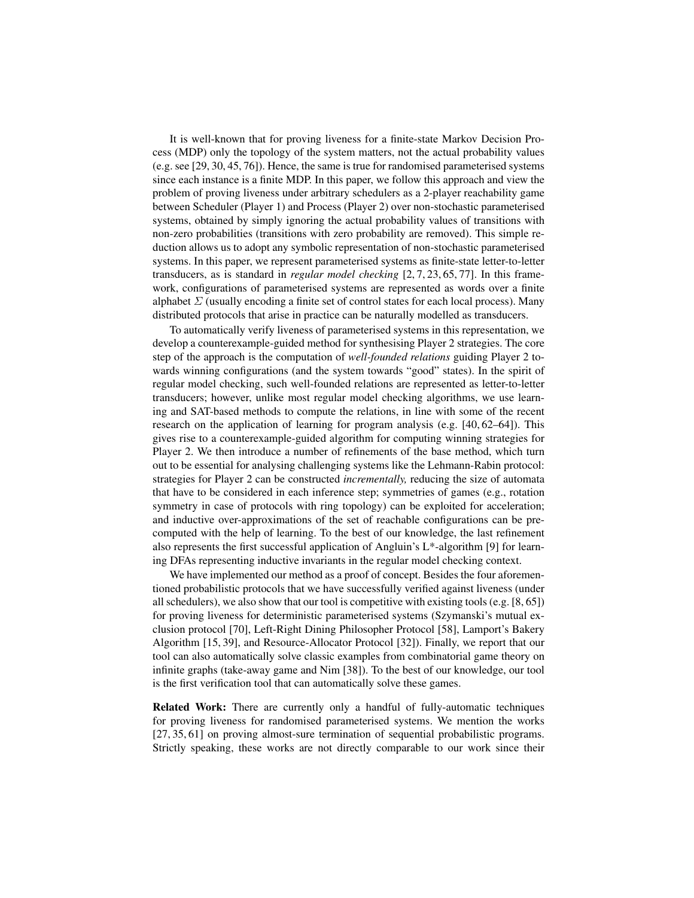It is well-known that for proving liveness for a finite-state Markov Decision Process (MDP) only the topology of the system matters, not the actual probability values (e.g. see [29, 30, 45, 76]). Hence, the same is true for randomised parameterised systems since each instance is a finite MDP. In this paper, we follow this approach and view the problem of proving liveness under arbitrary schedulers as a 2-player reachability game between Scheduler (Player 1) and Process (Player 2) over non-stochastic parameterised systems, obtained by simply ignoring the actual probability values of transitions with non-zero probabilities (transitions with zero probability are removed). This simple reduction allows us to adopt any symbolic representation of non-stochastic parameterised systems. In this paper, we represent parameterised systems as finite-state letter-to-letter transducers, as is standard in *regular model checking* [2, 7, 23, 65, 77]. In this framework, configurations of parameterised systems are represented as words over a finite alphabet  $\Sigma$  (usually encoding a finite set of control states for each local process). Many distributed protocols that arise in practice can be naturally modelled as transducers.

To automatically verify liveness of parameterised systems in this representation, we develop a counterexample-guided method for synthesising Player 2 strategies. The core step of the approach is the computation of *well-founded relations* guiding Player 2 towards winning configurations (and the system towards "good" states). In the spirit of regular model checking, such well-founded relations are represented as letter-to-letter transducers; however, unlike most regular model checking algorithms, we use learning and SAT-based methods to compute the relations, in line with some of the recent research on the application of learning for program analysis (e.g. [40, 62–64]). This gives rise to a counterexample-guided algorithm for computing winning strategies for Player 2. We then introduce a number of refinements of the base method, which turn out to be essential for analysing challenging systems like the Lehmann-Rabin protocol: strategies for Player 2 can be constructed *incrementally,* reducing the size of automata that have to be considered in each inference step; symmetries of games (e.g., rotation symmetry in case of protocols with ring topology) can be exploited for acceleration; and inductive over-approximations of the set of reachable configurations can be precomputed with the help of learning. To the best of our knowledge, the last refinement also represents the first successful application of Angluin's  $L^*$ -algorithm [9] for learning DFAs representing inductive invariants in the regular model checking context.

We have implemented our method as a proof of concept. Besides the four aforementioned probabilistic protocols that we have successfully verified against liveness (under all schedulers), we also show that our tool is competitive with existing tools (e.g.  $[8, 65]$ ) for proving liveness for deterministic parameterised systems (Szymanski's mutual exclusion protocol [70], Left-Right Dining Philosopher Protocol [58], Lamport's Bakery Algorithm [15, 39], and Resource-Allocator Protocol [32]). Finally, we report that our tool can also automatically solve classic examples from combinatorial game theory on infinite graphs (take-away game and Nim [38]). To the best of our knowledge, our tool is the first verification tool that can automatically solve these games.

Related Work: There are currently only a handful of fully-automatic techniques for proving liveness for randomised parameterised systems. We mention the works [27, 35, 61] on proving almost-sure termination of sequential probabilistic programs. Strictly speaking, these works are not directly comparable to our work since their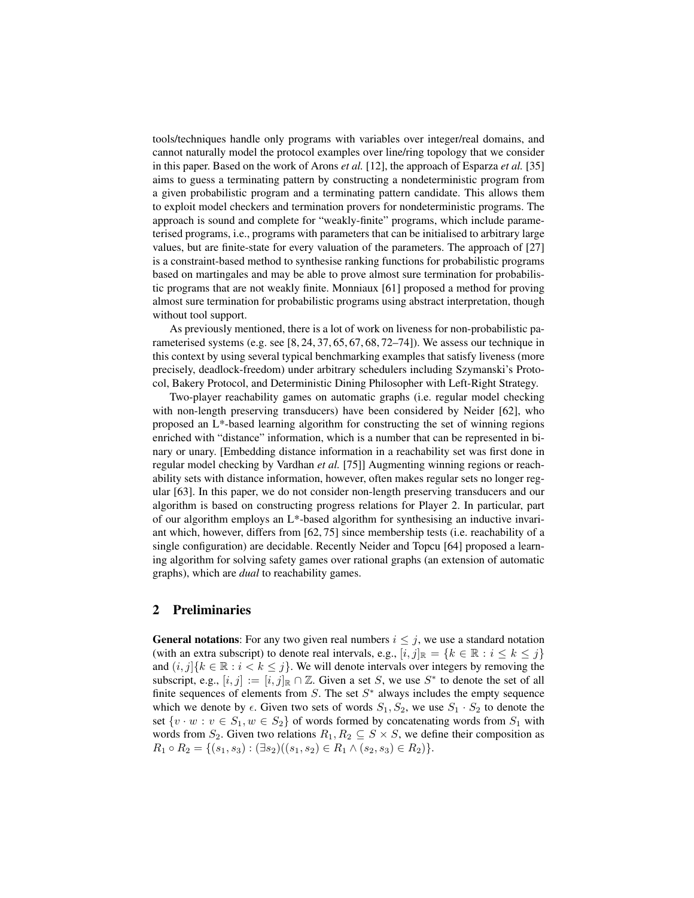tools/techniques handle only programs with variables over integer/real domains, and cannot naturally model the protocol examples over line/ring topology that we consider in this paper. Based on the work of Arons *et al.* [12], the approach of Esparza *et al.* [35] aims to guess a terminating pattern by constructing a nondeterministic program from a given probabilistic program and a terminating pattern candidate. This allows them to exploit model checkers and termination provers for nondeterministic programs. The approach is sound and complete for "weakly-finite" programs, which include parameterised programs, i.e., programs with parameters that can be initialised to arbitrary large values, but are finite-state for every valuation of the parameters. The approach of [27] is a constraint-based method to synthesise ranking functions for probabilistic programs based on martingales and may be able to prove almost sure termination for probabilistic programs that are not weakly finite. Monniaux [61] proposed a method for proving almost sure termination for probabilistic programs using abstract interpretation, though without tool support.

As previously mentioned, there is a lot of work on liveness for non-probabilistic parameterised systems (e.g. see [8, 24, 37, 65, 67, 68, 72–74]). We assess our technique in this context by using several typical benchmarking examples that satisfy liveness (more precisely, deadlock-freedom) under arbitrary schedulers including Szymanski's Protocol, Bakery Protocol, and Deterministic Dining Philosopher with Left-Right Strategy.

Two-player reachability games on automatic graphs (i.e. regular model checking with non-length preserving transducers) have been considered by Neider [62], who proposed an L\*-based learning algorithm for constructing the set of winning regions enriched with "distance" information, which is a number that can be represented in binary or unary. [Embedding distance information in a reachability set was first done in regular model checking by Vardhan *et al.* [75]] Augmenting winning regions or reachability sets with distance information, however, often makes regular sets no longer regular [63]. In this paper, we do not consider non-length preserving transducers and our algorithm is based on constructing progress relations for Player 2. In particular, part of our algorithm employs an  $L^*$ -based algorithm for synthesising an inductive invariant which, however, differs from [62, 75] since membership tests (i.e. reachability of a single configuration) are decidable. Recently Neider and Topcu [64] proposed a learning algorithm for solving safety games over rational graphs (an extension of automatic graphs), which are *dual* to reachability games.

## 2 Preliminaries

**General notations:** For any two given real numbers  $i \leq j$ , we use a standard notation (with an extra subscript) to denote real intervals, e.g.,  $[i, j]_{\mathbb{R}} = \{k \in \mathbb{R} : i \le k \le j\}$ and  $(i, j]$  { $k \in \mathbb{R} : i < k \leq j$ }. We will denote intervals over integers by removing the subscript, e.g.,  $[i, j] := [i, j]_{\mathbb{R}} \cap \mathbb{Z}$ . Given a set S, we use S<sup>\*</sup> to denote the set of all finite sequences of elements from  $S$ . The set  $S^*$  always includes the empty sequence which we denote by  $\epsilon$ . Given two sets of words  $S_1, S_2$ , we use  $S_1 \cdot S_2$  to denote the set  $\{v \cdot w : v \in S_1, w \in S_2\}$  of words formed by concatenating words from  $S_1$  with words from  $S_2$ . Given two relations  $R_1, R_2 \subseteq S \times S$ , we define their composition as  $R_1 \circ R_2 = \{(s_1, s_3) : (\exists s_2)((s_1, s_2) \in R_1 \land (s_2, s_3) \in R_2)\}.$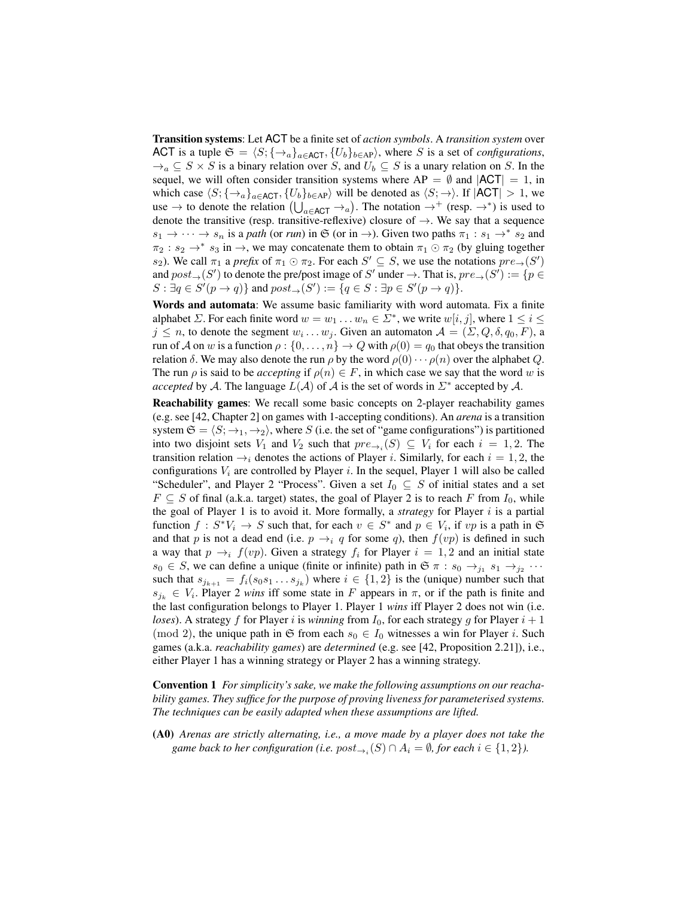Transition systems: Let ACT be a finite set of *action symbols*. A *transition system* over ACT is a tuple  $\mathfrak{S} = \langle S; \{\rightarrow_a\}_{a \in \text{ACT}}, \{U_b\}_{b \in \text{AP}}\rangle$ , where S is a set of *configurations*,  $\rightarrow_a \subseteq S \times S$  is a binary relation over S, and  $U_b \subseteq S$  is a unary relation on S. In the sequel, we will often consider transition systems where  $AP = \emptyset$  and  $|ACT| = 1$ , in which case  $\langle S; {\{\rightarrow_a\}}_{a \in ACT}, \{U_b\}_{b \in AP}$  will be denoted as  $\langle S; \rightarrow \rangle$ . If  $|ACT| > 1$ , we use  $\rightarrow$  to denote the relation  $(\bigcup_{a \in \text{ACT}} \rightarrow_a)$ . The notation  $\rightarrow^+$  (resp.  $\rightarrow^*$ ) is used to denote the transitive (resp. transitive-reflexive) closure of  $\rightarrow$ . We say that a sequence  $s_1 \to \cdots \to s_n$  is a *path* (or *run*) in G (or in  $\to$ ). Given two paths  $\pi_1 : s_1 \to^* s_2$  and  $\pi_2$ :  $s_2 \rightarrow^* s_3$  in  $\rightarrow$ , we may concatenate them to obtain  $\pi_1 \odot \pi_2$  (by gluing together s<sub>2</sub>). We call  $\pi_1$  a *prefix* of  $\pi_1 \odot \pi_2$ . For each  $S' \subseteq S$ , we use the notations  $pre_{\rightarrow}(S')$ and  $post_{\rightarrow}(S')$  to denote the pre/post image of S' under  $\rightarrow$ . That is,  $pre_{\rightarrow}(S') := \{p \in S\}$  $S: \exists q \in S'(p \rightarrow q) \}$  and  $post_{\rightarrow}(S') := \{ q \in S : \exists p \in S'(p \rightarrow q) \}.$ 

Words and automata: We assume basic familiarity with word automata. Fix a finite alphabet  $\Sigma$ . For each finite word  $w = w_1 \dots w_n \in \Sigma^*$ , we write  $w[i, j]$ , where  $1 \le i \le n$  $j \leq n$ , to denote the segment  $w_i \dots w_j$ . Given an automaton  $\mathcal{A} = (\Sigma, Q, \delta, q_0, F)$ , a run of A on w is a function  $\rho : \{0, \ldots, n\} \to Q$  with  $\rho(0) = q_0$  that obeys the transition relation  $\delta$ . We may also denote the run  $\rho$  by the word  $\rho(0) \cdots \rho(n)$  over the alphabet Q. The run  $\rho$  is said to be *accepting* if  $\rho(n) \in F$ , in which case we say that the word w is *accepted* by A. The language  $L(A)$  of A is the set of words in  $\Sigma^*$  accepted by A.

Reachability games: We recall some basic concepts on 2-player reachability games (e.g. see [42, Chapter 2] on games with 1-accepting conditions). An *arena* is a transition system  $\mathfrak{S} = \langle S; \rightarrow_1, \rightarrow_2 \rangle$ , where S (i.e. the set of "game configurations") is partitioned into two disjoint sets  $V_1$  and  $V_2$  such that  $pre_{\rightarrow_i}(S) \subseteq V_i$  for each  $i = 1, 2$ . The transition relation  $\rightarrow_i$  denotes the actions of Player i. Similarly, for each  $i = 1, 2$ , the configurations  $V_i$  are controlled by Player i. In the sequel, Player 1 will also be called "Scheduler", and Player 2 "Process". Given a set  $I_0 \subseteq S$  of initial states and a set  $F \subseteq S$  of final (a.k.a. target) states, the goal of Player 2 is to reach F from  $I_0$ , while the goal of Player 1 is to avoid it. More formally, a *strategy* for Player i is a partial function  $f: S^*V_i \to S$  such that, for each  $v \in S^*$  and  $p \in V_i$ , if  $vp$  is a path in  $\mathfrak S$ and that p is not a dead end (i.e.  $p \rightarrow_i q$  for some q), then  $f(vp)$  is defined in such a way that  $p \rightarrow_i f(vp)$ . Given a strategy  $f_i$  for Player  $i = 1, 2$  and an initial state  $s_0 \in S$ , we can define a unique (finite or infinite) path in  $\mathfrak{S} \pi : s_0 \to_{j_1} s_1 \to_{j_2} \cdots$ such that  $s_{j_{k+1}} = f_i(s_0s_1 \dots s_{j_k})$  where  $i \in \{1,2\}$  is the (unique) number such that  $s_{j_k} \in V_i$ . Player 2 *wins* iff some state in F appears in  $\pi$ , or if the path is finite and the last configuration belongs to Player 1. Player 1 *wins* iff Player 2 does not win (i.e. *loses*). A strategy f for Player i is *winning* from  $I_0$ , for each strategy g for Player  $i + 1$ (mod 2), the unique path in G from each  $s_0 \text{ }\in I_0$  witnesses a win for Player i. Such games (a.k.a. *reachability games*) are *determined* (e.g. see [42, Proposition 2.21]), i.e., either Player 1 has a winning strategy or Player 2 has a winning strategy.

Convention 1 *For simplicity's sake, we make the following assumptions on our reachability games. They suffice for the purpose of proving liveness for parameterised systems. The techniques can be easily adapted when these assumptions are lifted.*

(A0) *Arenas are strictly alternating, i.e., a move made by a player does not take the* game back to her configuration (i.e.  $post_{\rightarrow i}(S) \cap A_i = \emptyset$ , for each  $i \in \{1,2\}$ ).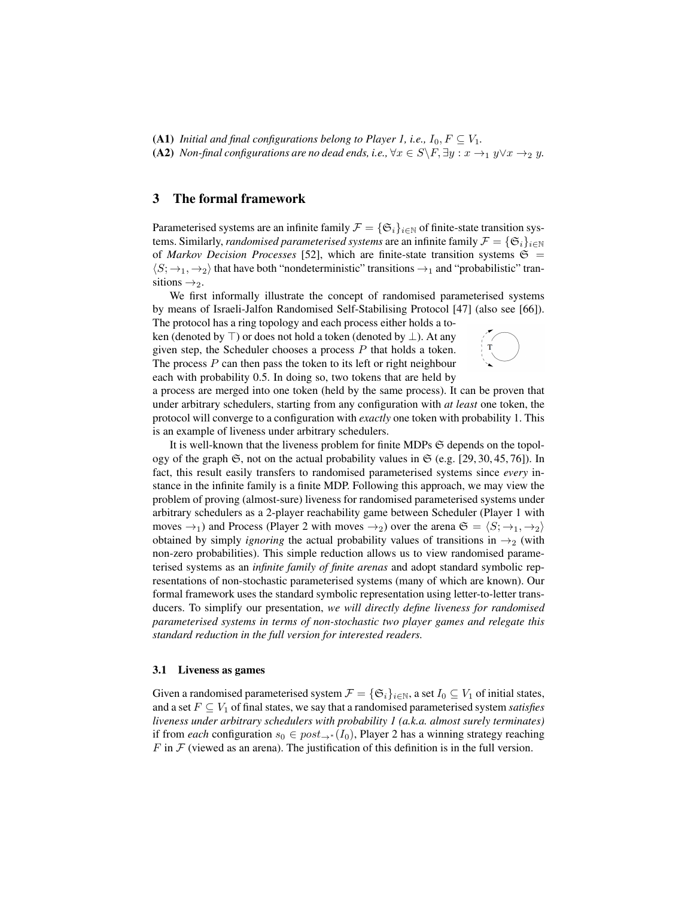(A1) *Initial and final configurations belong to Player 1, i.e.,*  $I_0, F \subseteq V_1$ .

(A2) *Non-final configurations are no dead ends, i.e.,*  $\forall x \in S \setminus F$ ,  $\exists y : x \rightarrow_1 y \lor x \rightarrow_2 y$ .

# 3 The formal framework

Parameterised systems are an infinite family  $\mathcal{F} = \{\mathfrak{S}_i\}_{i \in \mathbb{N}}$  of finite-state transition systems. Similarly, *randomised parameterised systems* are an infinite family  $\mathcal{F} = \{\mathfrak{S}_i\}_{i\in\mathbb{N}}$ of *Markov Decision Processes* [52], which are finite-state transition systems  $\mathfrak{S}$  =  $\langle S; \rightarrow_1, \rightarrow_2 \rangle$  that have both "nondeterministic" transitions  $\rightarrow_1$  and "probabilistic" transitions  $\rightarrow_2$ .

We first informally illustrate the concept of randomised parameterised systems by means of Israeli-Jalfon Randomised Self-Stabilising Protocol [47] (also see [66]). The protocol has a ring topology and each process either holds a to-

ken (denoted by  $\top$ ) or does not hold a token (denoted by  $\bot$ ). At any given step, the Scheduler chooses a process  $P$  that holds a token. The process  $P$  can then pass the token to its left or right neighbour each with probability 0.5. In doing so, two tokens that are held by



a process are merged into one token (held by the same process). It can be proven that under arbitrary schedulers, starting from any configuration with *at least* one token, the protocol will converge to a configuration with *exactly* one token with probability 1. This is an example of liveness under arbitrary schedulers.

It is well-known that the liveness problem for finite MDPs  $\mathfrak S$  depends on the topology of the graph  $\mathfrak{S}$ , not on the actual probability values in  $\mathfrak{S}$  (e.g. [29, 30, 45, 76]). In fact, this result easily transfers to randomised parameterised systems since *every* instance in the infinite family is a finite MDP. Following this approach, we may view the problem of proving (almost-sure) liveness for randomised parameterised systems under arbitrary schedulers as a 2-player reachability game between Scheduler (Player 1 with moves  $\rightarrow_1$ ) and Process (Player 2 with moves  $\rightarrow_2$ ) over the arena  $\mathfrak{S} = \langle S; \rightarrow_1, \rightarrow_2 \rangle$ obtained by simply *ignoring* the actual probability values of transitions in  $\rightarrow$ <sub>2</sub> (with non-zero probabilities). This simple reduction allows us to view randomised parameterised systems as an *infinite family of finite arenas* and adopt standard symbolic representations of non-stochastic parameterised systems (many of which are known). Our formal framework uses the standard symbolic representation using letter-to-letter transducers. To simplify our presentation, *we will directly define liveness for randomised parameterised systems in terms of non-stochastic two player games and relegate this standard reduction in the full version for interested readers.*

#### 3.1 Liveness as games

Given a randomised parameterised system  $\mathcal{F} = \{\mathfrak{S}_i\}_{i\in\mathbb{N}}$ , a set  $I_0 \subseteq V_1$  of initial states, and a set  $F \subseteq V_1$  of final states, we say that a randomised parameterised system *satisfies liveness under arbitrary schedulers with probability 1 (a.k.a. almost surely terminates)* if from *each* configuration  $s_0 \in post_{\rightarrow *}(I_0)$ , Player 2 has a winning strategy reaching  $F$  in  $F$  (viewed as an arena). The justification of this definition is in the full version.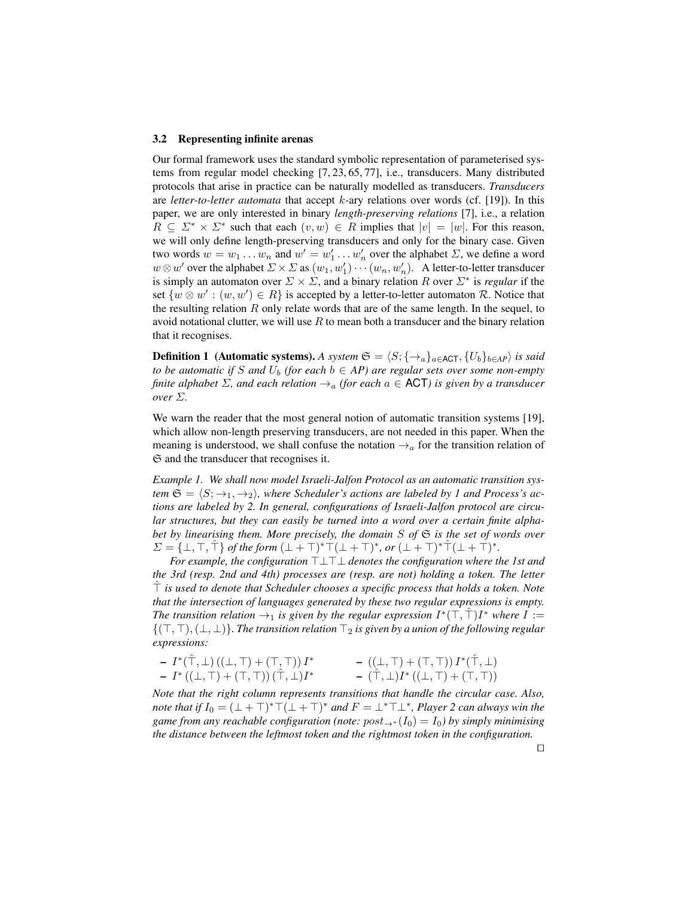#### 3.2 Representing infinite arenas

Our formal framework uses the standard symbolic representation of parameterised systems from regular model checking [7, 23, 65, 77], i.e., transducers. Many distributed protocols that arise in practice can be naturally modelled as transducers. *Transducers* are *letter-to-letter automata* that accept k-ary relations over words (cf. [19]). In this paper, we are only interested in binary *length-preserving relations* [7], i.e., a relation  $R \subseteq \Sigma^* \times \Sigma^*$  such that each  $(v, w) \in R$  implies that  $|v| = |w|$ . For this reason, we will only define length-preserving transducers and only for the binary case. Given two words  $w = w_1 \dots w_n$  and  $w' = w'_1 \dots w'_n$  over the alphabet  $\Sigma$ , we define a word  $w \otimes w'$  over the alphabet  $\Sigma \times \Sigma$  as  $(w_1, w'_1) \cdots (w_n, w'_n)$ . A letter-to-letter transducer is simply an automaton over  $\Sigma \times \Sigma$ , and a binary relation R over  $\Sigma^*$  is *regular* if the set  $\{w \otimes w' : (w, w') \in R\}$  is accepted by a letter-to-letter automaton R. Notice that the resulting relation  $R$  only relate words that are of the same length. In the sequel, to avoid notational clutter, we will use  $R$  to mean both a transducer and the binary relation that it recognises.

**Definition 1** (Automatic systems). *A system*  $\mathfrak{S} = \langle S; \{\rightarrow_a\}_{a \in \text{ACT}}, \{U_b\}_{b \in AP} \rangle$  *is said to be automatic if* S and  $U_b$  (for each  $b \in AP$ ) are regular sets over some non-empty *finite alphabet*  $\Sigma$ , and each relation  $\rightarrow$ <sub>a</sub> (for each  $a \in$  **ACT**) is given by a transducer *over* Σ*.*

We warn the reader that the most general notion of automatic transition systems [19], which allow non-length preserving transducers, are not needed in this paper. When the meaning is understood, we shall confuse the notation  $\rightarrow_a$  for the transition relation of S and the transducer that recognises it.

*Example 1. We shall now model Israeli-Jalfon Protocol as an automatic transition system*  $\mathfrak{S} = \langle S; \rightarrow_1, \rightarrow_2 \rangle$ *, where Scheduler's actions are labeled by 1 and Process's actions are labeled by 2. In general, configurations of Israeli-Jalfon protocol are circular structures, but they can easily be turned into a word over a certain finite alphabet by linearising them. More precisely, the domain* S *of* S *is the set of words over*  $\Sigma = {\{\perp, \top, \hat{\top}\}}$  *of the form*  $(\bot + \top)^* \top (\bot + \top)^*$ , *or*  $(\bot + \top)^* \hat{\top} (\bot + \top)^*$ .

*For example, the configuration*  $\top \bot \top \bot$  *denotes the configuration where the 1st and the 3rd (resp. 2nd and 4th) processes are (resp. are not) holding a token. The letter*  $\bar{\tau}$  *is used to denote that Scheduler chooses a specific process that holds a token. Note that the intersection of languages generated by these two regular expressions is empty.* The transition relation  $\rightarrow_1$  is given by the regular expression  $I^*(\tilde{\top}, \hat{\tau})I^*$  where  $I :=$  $\{(\top, \top), (\bot, \bot)\}\.$  The transition relation  $\top_2$  is given by a union of the following regular *expressions:*

| $-I^*(\hat{\top},\bot)((\bot,\top)+(\top,\top))I^*$         | $-((\bot,\top) + (\top,\top))I^*(\hat{\top},\bot)$ |
|-------------------------------------------------------------|----------------------------------------------------|
| $-I^*\left((\bot,\top)+(\top,\top)\right)(\hat{T},\bot)I^*$ | $ (T, \perp)I^*((\perp, \top) + (\top, \top))$     |

*Note that the right column represents transitions that handle the circular case. Also, note that if*  $I_0 = (\bot + \top)^* \top (\bot + \top)^*$  *and*  $F = \bot^* \top \bot^*$ *, Player 2 can always win the game from any reachable configuration (note: post*<sub>→∗</sub> ( $I_0$ ) =  $I_0$ ) by simply minimising *the distance between the leftmost token and the rightmost token in the configuration.*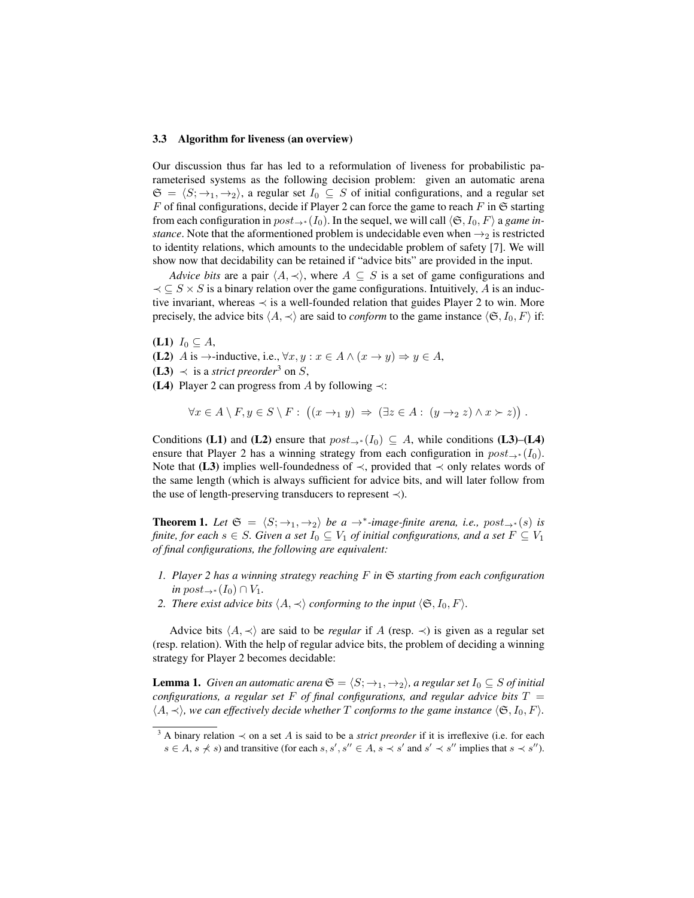#### 3.3 Algorithm for liveness (an overview)

Our discussion thus far has led to a reformulation of liveness for probabilistic parameterised systems as the following decision problem: given an automatic arena  $\mathfrak{S} = \langle S; \rightarrow_1, \rightarrow_2 \rangle$ , a regular set  $I_0 \subseteq S$  of initial configurations, and a regular set F of final configurations, decide if Player 2 can force the game to reach F in  $\mathfrak S$  starting from each configuration in  $post_{\rightarrow *}(I_0)$ . In the sequel, we will call  $\langle \mathfrak{S}, I_0, F \rangle$  a *game instance*. Note that the aformentioned problem is undecidable even when  $\rightarrow_2$  is restricted to identity relations, which amounts to the undecidable problem of safety [7]. We will show now that decidability can be retained if "advice bits" are provided in the input.

*Advice bits* are a pair  $\langle A, \prec \rangle$ , where  $A \subseteq S$  is a set of game configurations and  $\prec$   $\subseteq$   $S \times S$  is a binary relation over the game configurations. Intuitively, A is an inductive invariant, whereas  $\prec$  is a well-founded relation that guides Player 2 to win. More precisely, the advice bits  $\langle A, \prec \rangle$  are said to *conform* to the game instance  $\langle \mathfrak{S}, I_0, F \rangle$  if:

(L1)  $I_0 \subseteq A$ , (L2) A is  $\rightarrow$ -inductive, i.e.,  $\forall x, y : x \in A \land (x \rightarrow y) \Rightarrow y \in A$ , (**L3**)  $\prec$  is a *strict preorder*<sup>3</sup> on *S*, (L4) Player 2 can progress from A by following  $\prec$ :

$$
\forall x \in A \setminus F, y \in S \setminus F : ((x \to_1 y) \Rightarrow (\exists z \in A : (y \to_2 z) \land x \succ z)).
$$

Conditions (L1) and (L2) ensure that  $post_{\rightarrow*}(I_0) \subseteq A$ , while conditions (L3)–(L4) ensure that Player 2 has a winning strategy from each configuration in  $post_{\rightarrow*}(I_0)$ . Note that (L3) implies well-foundedness of  $\prec$ , provided that  $\prec$  only relates words of the same length (which is always sufficient for advice bits, and will later follow from the use of length-preserving transducers to represent  $\prec$ ).

**Theorem 1.** Let  $\mathfrak{S} = \langle S; \rightarrow_1, \rightarrow_2 \rangle$  be a  $\rightarrow^*$ -image-finite arena, i.e.,  $post_{\rightarrow^*}(s)$  is *finite, for each*  $s \in S$ *. Given a set*  $I_0 \subseteq V_1$  *of initial configurations, and a set*  $F \subseteq V_1$ *of final configurations, the following are equivalent:*

- *1. Player 2 has a winning strategy reaching* F *in* S *starting from each configuration in* post<sub>→</sub>∗  $(I_0) \cap V_1$ .
- *2. There exist advice bits*  $\langle A, \prec \rangle$  *conforming to the input*  $\langle \mathfrak{S}, I_0, F \rangle$ *.*

Advice bits  $\langle A, \prec \rangle$  are said to be *regular* if A (resp.  $\prec$ ) is given as a regular set (resp. relation). With the help of regular advice bits, the problem of deciding a winning strategy for Player 2 becomes decidable:

**Lemma 1.** *Given an automatic arena*  $\mathfrak{S} = \langle S; \rightarrow_1, \rightarrow_2 \rangle$ *, a regular set*  $I_0 \subseteq S$  *of initial configurations, a regular set* F *of final configurations, and regular advice bits*  $T =$  $\langle A, \prec \rangle$ *, we can effectively decide whether* T *conforms to the game instance*  $\langle \mathfrak{S}, I_0, F \rangle$ *.* 

<sup>3</sup> A binary relation ≺ on a set A is said to be a *strict preorder* if it is irreflexive (i.e. for each  $s \in A$ ,  $s \nless s$ ) and transitive (for each  $s, s', s'' \in A$ ,  $s \prec s'$  and  $s' \prec s''$  implies that  $s \prec s''$ ).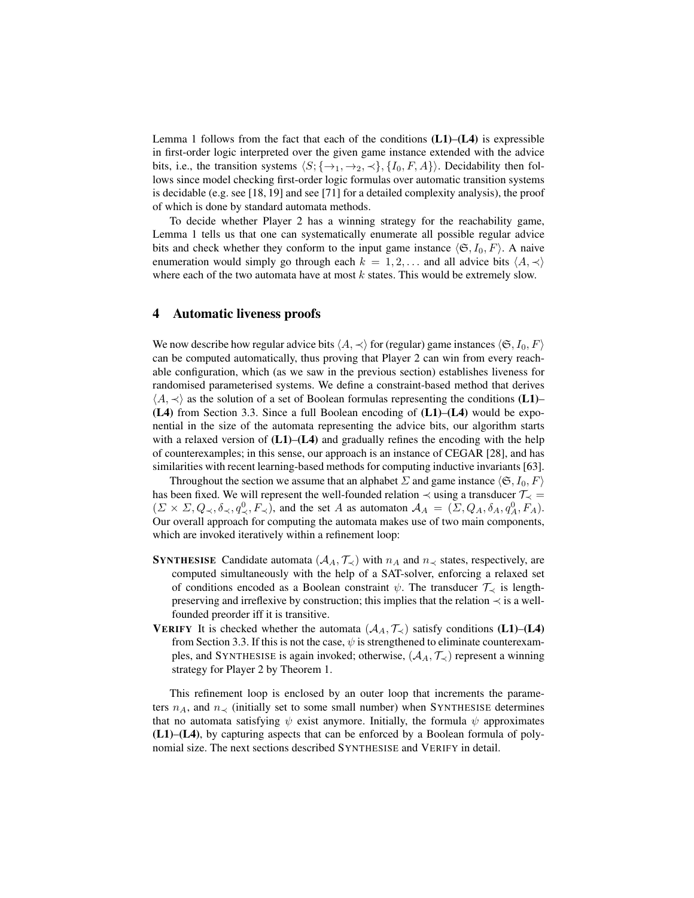Lemma 1 follows from the fact that each of the conditions  $(L1)$ – $(L4)$  is expressible in first-order logic interpreted over the given game instance extended with the advice bits, i.e., the transition systems  $\langle S; {\{\rightarrow_1, \rightarrow_2, \prec\}} , {I_0, F, A} \rangle$ . Decidability then follows since model checking first-order logic formulas over automatic transition systems is decidable (e.g. see [18, 19] and see [71] for a detailed complexity analysis), the proof of which is done by standard automata methods.

To decide whether Player 2 has a winning strategy for the reachability game, Lemma 1 tells us that one can systematically enumerate all possible regular advice bits and check whether they conform to the input game instance  $\langle \mathfrak{S}, I_0, F \rangle$ . A naive enumeration would simply go through each  $k = 1, 2, \dots$  and all advice bits  $\langle A, \prec \rangle$ where each of the two automata have at most  $k$  states. This would be extremely slow.

## 4 Automatic liveness proofs

We now describe how regular advice bits  $\langle A, \prec \rangle$  for (regular) game instances  $\langle \mathfrak{S}, I_0, F \rangle$ can be computed automatically, thus proving that Player 2 can win from every reachable configuration, which (as we saw in the previous section) establishes liveness for randomised parameterised systems. We define a constraint-based method that derives  $\langle A, \prec \rangle$  as the solution of a set of Boolean formulas representing the conditions (L1)– (L4) from Section 3.3. Since a full Boolean encoding of  $(L1)$ – $(L4)$  would be exponential in the size of the automata representing the advice bits, our algorithm starts with a relaxed version of  $(L1)$ – $(L4)$  and gradually refines the encoding with the help of counterexamples; in this sense, our approach is an instance of CEGAR [28], and has similarities with recent learning-based methods for computing inductive invariants [63].

Throughout the section we assume that an alphabet  $\Sigma$  and game instance  $\langle \mathfrak{S}, I_0, F \rangle$ has been fixed. We will represent the well-founded relation  $\prec$  using a transducer  $\mathcal{T}_{\prec}$  =  $(\Sigma \times \Sigma, Q_{\prec}, \delta_{\prec}, q_{\prec}^0, F_{\prec})$ , and the set A as automaton  $A_A = (\Sigma, Q_A, \delta_A, q_A^0, F_A)$ . Our overall approach for computing the automata makes use of two main components, which are invoked iteratively within a refinement loop:

- **SYNTHESISE** Candidate automata  $(A_A, \mathcal{T}_{\prec})$  with  $n_A$  and  $n_{\prec}$  states, respectively, are computed simultaneously with the help of a SAT-solver, enforcing a relaxed set of conditions encoded as a Boolean constraint  $\psi$ . The transducer  $\mathcal{T}_{\prec}$  is lengthpreserving and irreflexive by construction; this implies that the relation  $\prec$  is a wellfounded preorder iff it is transitive.
- **VERIFY** It is checked whether the automata  $(A_A, \mathcal{T}_{\prec})$  satisfy conditions (L1)–(L4) from Section 3.3. If this is not the case,  $\psi$  is strengthened to eliminate counterexamples, and SYNTHESISE is again invoked; otherwise,  $(A_A, \mathcal{T}_{\prec})$  represent a winning strategy for Player 2 by Theorem 1.

This refinement loop is enclosed by an outer loop that increments the parameters  $n_A$ , and  $n_{\prec}$  (initially set to some small number) when SYNTHESISE determines that no automata satisfying  $\psi$  exist anymore. Initially, the formula  $\psi$  approximates (L1)–(L4), by capturing aspects that can be enforced by a Boolean formula of polynomial size. The next sections described SYNTHESISE and VERIFY in detail.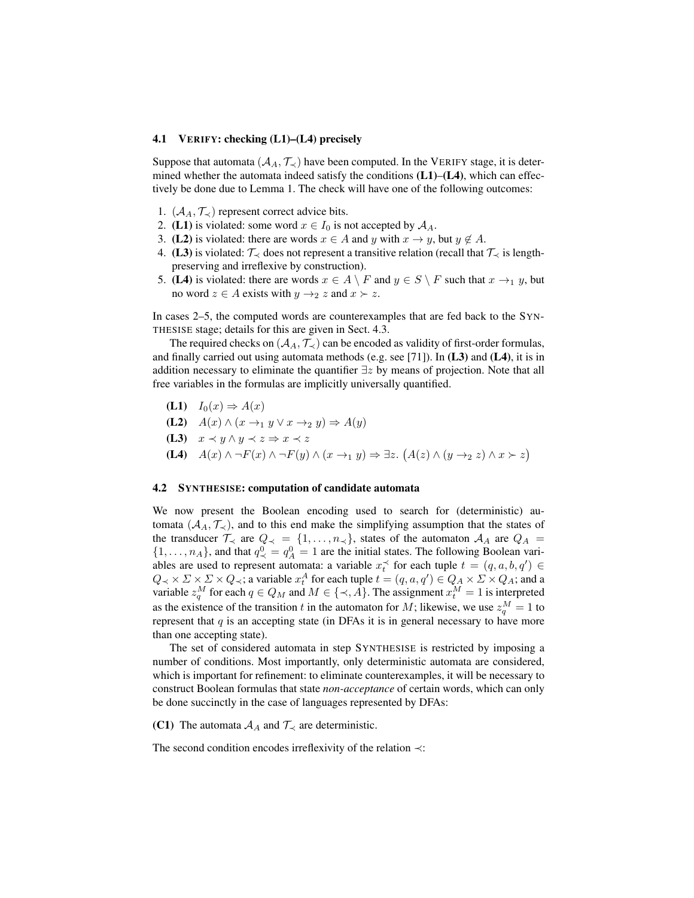## 4.1 VERIFY: checking (L1)–(L4) precisely

Suppose that automata  $(A_A, \mathcal{T}_{\prec})$  have been computed. In the VERIFY stage, it is determined whether the automata indeed satisfy the conditions  $(L1)$ – $(L4)$ , which can effectively be done due to Lemma 1. The check will have one of the following outcomes:

- 1.  $(A_A, \mathcal{T}_{\prec})$  represent correct advice bits.
- 2. (L1) is violated: some word  $x \in I_0$  is not accepted by  $A_A$ .
- 3. (L2) is violated: there are words  $x \in A$  and y with  $x \to y$ , but  $y \notin A$ .
- 4. (L3) is violated:  $\mathcal{T}_{\leq}$  does not represent a transitive relation (recall that  $\mathcal{T}_{\leq}$  is lengthpreserving and irreflexive by construction).
- 5. (L4) is violated: there are words  $x \in A \setminus F$  and  $y \in S \setminus F$  such that  $x \to_1 y$ , but no word  $z \in A$  exists with  $y \rightarrow_2 z$  and  $x \succ z$ .

In cases 2–5, the computed words are counterexamples that are fed back to the SYN-THESISE stage; details for this are given in Sect. 4.3.

The required checks on  $(A_A, \mathcal{T}_{\prec})$  can be encoded as validity of first-order formulas, and finally carried out using automata methods (e.g. see [71]). In  $(L3)$  and  $(L4)$ , it is in addition necessary to eliminate the quantifier ∃z by means of projection. Note that all free variables in the formulas are implicitly universally quantified.

\n- **(L1)** 
$$
I_0(x) \Rightarrow A(x)
$$
\n- **(L2)**  $A(x) \land (x \rightarrow_1 y \lor x \rightarrow_2 y) \Rightarrow A(y)$
\n- **(L3)**  $x \prec y \land y \prec z \Rightarrow x \prec z$
\n- **(L4)**  $A(x) \land \neg F(x) \land \neg F(y) \land (x \rightarrow_1 y) \Rightarrow \exists z. \ (A(z) \land (y \rightarrow_2 z) \land x \succ z)$
\n

## 4.2 SYNTHESISE: computation of candidate automata

We now present the Boolean encoding used to search for (deterministic) automata  $(A_A, \mathcal{T}_{\prec})$ , and to this end make the simplifying assumption that the states of the transducer  $\mathcal{T}_{\prec}$  are  $Q_{\prec} = \{1, \ldots, n_{\prec}\}\$ , states of the automaton  $\mathcal{A}_A$  are  $Q_A =$  $\{1, \ldots, n_A\}$ , and that  $q^0_{\prec} = q^0_A = 1$  are the initial states. The following Boolean variables are used to represent automata: a variable  $x_t^{\prec}$  for each tuple  $t = (q, a, b, q') \in$  $Q_\prec \times \Sigma \times \Sigma \times Q_\prec$ ; a variable  $x_t^A$  for each tuple  $t = (q, a, q') \in Q_A \times \Sigma \times Q_A$ ; and a variable  $z_q^M$  for each  $q \in Q_M$  and  $M \in \{\prec, A\}$ . The assignment  $x_t^M = 1$  is interpreted as the existence of the transition t in the automaton for M; likewise, we use  $z_q^M = 1$  to represent that  $q$  is an accepting state (in DFAs it is in general necessary to have more than one accepting state).

The set of considered automata in step SYNTHESISE is restricted by imposing a number of conditions. Most importantly, only deterministic automata are considered, which is important for refinement: to eliminate counterexamples, it will be necessary to construct Boolean formulas that state *non-acceptance* of certain words, which can only be done succinctly in the case of languages represented by DFAs:

(C1) The automata  $A_A$  and  $T_\prec$  are deterministic.

The second condition encodes irreflexivity of the relation ≺: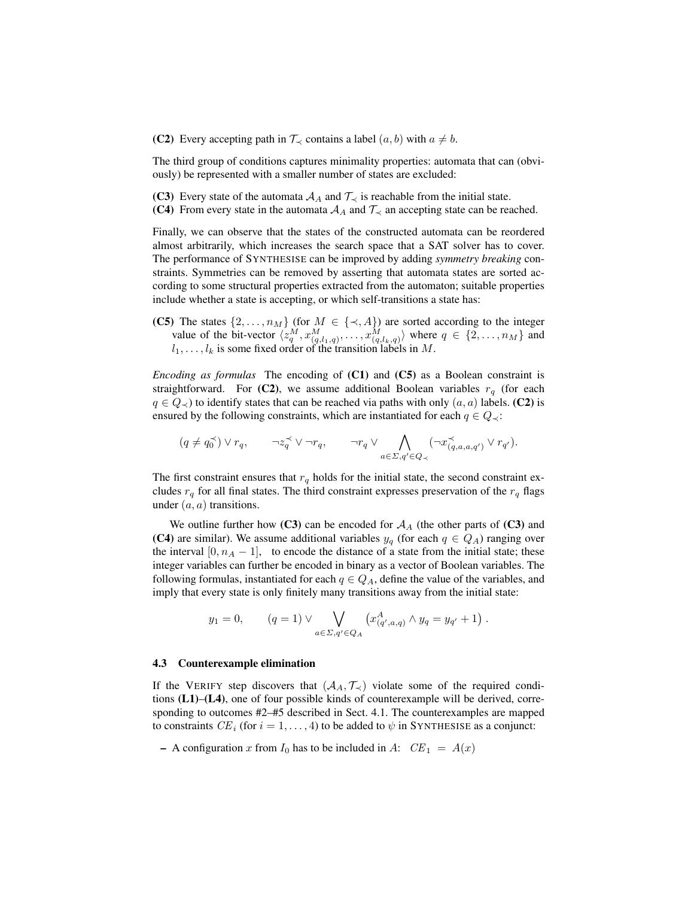(C2) Every accepting path in  $\mathcal{T}_{\prec}$  contains a label  $(a, b)$  with  $a \neq b$ .

The third group of conditions captures minimality properties: automata that can (obviously) be represented with a smaller number of states are excluded:

(C3) Every state of the automata  $A_A$  and  $T_{\prec}$  is reachable from the initial state.

(C4) From every state in the automata  $A_A$  and  $T_{\prec}$  an accepting state can be reached.

Finally, we can observe that the states of the constructed automata can be reordered almost arbitrarily, which increases the search space that a SAT solver has to cover. The performance of SYNTHESISE can be improved by adding *symmetry breaking* constraints. Symmetries can be removed by asserting that automata states are sorted according to some structural properties extracted from the automaton; suitable properties include whether a state is accepting, or which self-transitions a state has:

(C5) The states  $\{2, \ldots, n_M\}$  (for  $M \in \{\prec, A\}$ ) are sorted according to the integer value of the bit-vector  $\langle z_q^M, x_{(q,l_1,q)}^M, \ldots, x_{(q,l_k,q)}^M \rangle$  where  $q \in \{2, \ldots, n_M\}$  and  $l_1, \ldots, l_k$  is some fixed order of the transition labels in M.

*Encoding as formulas* The encoding of (C1) and (C5) as a Boolean constraint is straightforward. For (C2), we assume additional Boolean variables  $r<sub>a</sub>$  (for each  $q \in Q_{\prec}$ ) to identify states that can be reached via paths with only  $(a, a)$  labels. (C2) is ensured by the following constraints, which are instantiated for each  $q \in Q_{\prec}$ :

$$
(q \neq q_0^{\prec}) \vee r_q, \qquad \neg z_q^{\prec} \vee \neg r_q, \qquad \neg r_q \vee \bigwedge_{a \in \Sigma, q' \in Q_{\prec}} (\neg x_{(q,a,a,q')}^{\prec} \vee r_{q'}).
$$

The first constraint ensures that  $r_q$  holds for the initial state, the second constraint excludes  $r_q$  for all final states. The third constraint expresses preservation of the  $r_q$  flags under  $(a, a)$  transitions.

We outline further how (C3) can be encoded for  $A<sub>A</sub>$  (the other parts of (C3) and (C4) are similar). We assume additional variables  $y_q$  (for each  $q \in Q_A$ ) ranging over the interval  $[0, n_A - 1]$ , to encode the distance of a state from the initial state; these integer variables can further be encoded in binary as a vector of Boolean variables. The following formulas, instantiated for each  $q \in Q_A$ , define the value of the variables, and imply that every state is only finitely many transitions away from the initial state:

$$
y_1 = 0,
$$
  $(q = 1) \vee \bigvee_{a \in \Sigma, q' \in Q_A} (x_{(q',a,q)}^A \wedge y_q = y_{q'} + 1).$ 

#### 4.3 Counterexample elimination

If the VERIFY step discovers that  $(A_A, \mathcal{T}_{\prec})$  violate some of the required conditions (L1)–(L4), one of four possible kinds of counterexample will be derived, corresponding to outcomes #2–#5 described in Sect. 4.1. The counterexamples are mapped to constraints  $CE_i$  (for  $i = 1, ..., 4$ ) to be added to  $\psi$  in SYNTHESISE as a conjunct:

<sup>-</sup> A configuration x from  $I_0$  has to be included in A:  $CE_1 = A(x)$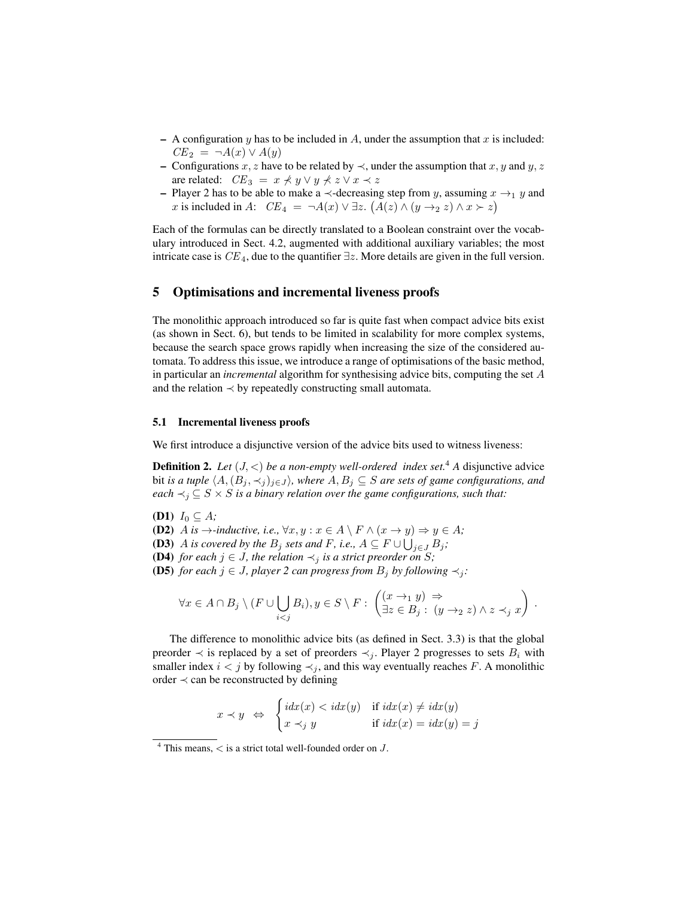- A configuration y has to be included in A, under the assumption that x is included:  $CE_2 = \neg A(x) \vee A(y)$
- Configurations x, z have to be related by  $\prec$ , under the assumption that x, y and y, z are related:  $CE_3 = x \nless y \vee y \nless z \vee x \nless z$
- Player 2 has to be able to make a  $\prec$ -decreasing step from y, assuming  $x \to_1 y$  and x is included in A:  $CE_4 = \neg A(x) \lor \exists z \cdot (A(z) \land (y \rightarrow_2 z) \land x \succ z)$

Each of the formulas can be directly translated to a Boolean constraint over the vocabulary introduced in Sect. 4.2, augmented with additional auxiliary variables; the most intricate case is  $CE_4$ , due to the quantifier  $\exists z$ . More details are given in the full version.

# 5 Optimisations and incremental liveness proofs

The monolithic approach introduced so far is quite fast when compact advice bits exist (as shown in Sect. 6), but tends to be limited in scalability for more complex systems, because the search space grows rapidly when increasing the size of the considered automata. To address this issue, we introduce a range of optimisations of the basic method, in particular an *incremental* algorithm for synthesising advice bits, computing the set A and the relation  $\prec$  by repeatedly constructing small automata.

## 5.1 Incremental liveness proofs

We first introduce a disjunctive version of the advice bits used to witness liveness:

**Definition 2.** Let  $(J, \leq)$  be a non-empty well-ordered index set.<sup>4</sup> A disjunctive advice bit *is a tuple*  $\langle A, (B_j, \prec_j)_{j \in J} \rangle$ , where  $A, B_j \subseteq S$  *are sets of game configurations, and each*  $\prec_j$   $\subseteq$   $S \times S$  *is a binary relation over the game configurations, such that:* 

(D1)  $I_0 \subseteq A$ ; (D2) A is  $\rightarrow$ *-inductive, i.e.,*  $\forall x, y : x \in A \setminus F \land (x \rightarrow y) \Rightarrow y \in A$ ; (D3) A is covered by the  $B_j$  sets and F, i.e.,  $A \subseteq F \cup \bigcup_{j \in J} B_j$ ; **(D4)** *for each*  $j \in J$ *, the relation*  $\prec_j$  *is a strict preorder on S;* **(D5)** *for each*  $j \in J$ *, player* 2 *can progress from*  $B_j$  *by following*  $\prec_i$ *:* 

$$
\forall x \in A \cap B_j \setminus (F \cup \bigcup_{i < j} B_i), y \in S \setminus F : \begin{pmatrix} (x \to_1 y) & \Rightarrow \\ \exists z \in B_j : (y \to_2 z) \land z \prec_j x \end{pmatrix} .
$$

The difference to monolithic advice bits (as defined in Sect. 3.3) is that the global preorder  $\prec$  is replaced by a set of preorders  $\prec_j$ . Player 2 progresses to sets  $B_i$  with smaller index  $i < j$  by following  $\prec_j$ , and this way eventually reaches F. A monolithic order  $\prec$  can be reconstructed by defining

$$
x \prec y \Leftrightarrow \begin{cases} idx(x) < idx(y) \\ x \prec_j y \end{cases} \quad \text{if } idx(x) \neq idx(y) \\ \text{if } idx(x) = idx(y) = j
$$

 $4$  This means,  $\lt$  is a strict total well-founded order on J.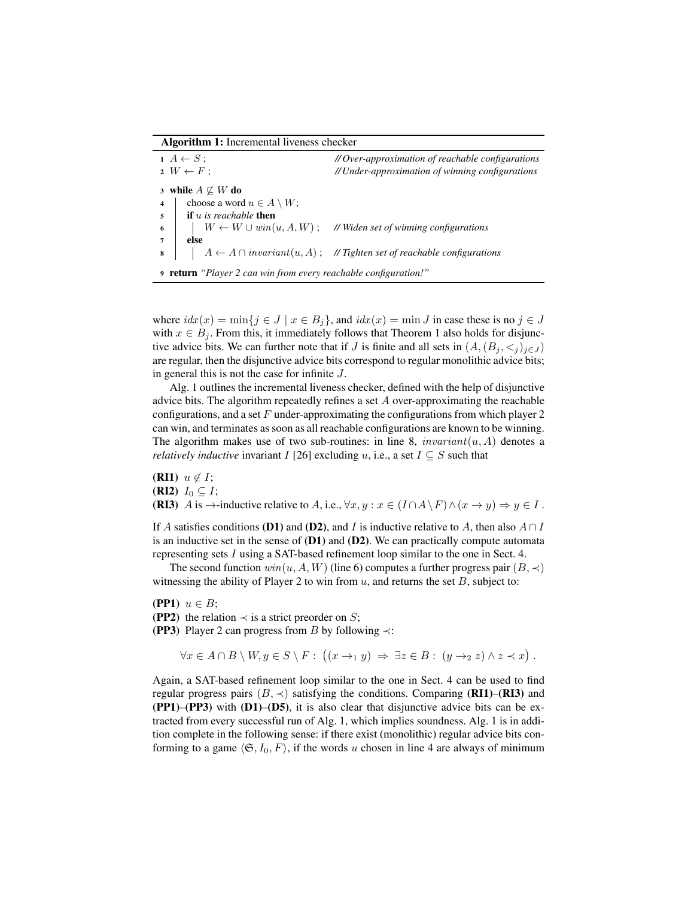Algorithm 1: Incremental liveness checker

 A ← S ; *// Over-approximation of reachable configurations* W ← F ; *//Under-approximation of winning configurations* 3 while  $A \not\subseteq W$  do 4 choose a word  $u \in A \setminus W$ ; if u *is reachable* then  $\mid W \leftarrow W \cup win(u, A, W);$  *// Widen set of winning configurations* <sup>7</sup> else  $\mid$   $A \leftarrow A \cap invariant(u, A);$  *// Tighten set of reachable configurations* return *"Player 2 can win from every reachable configuration!"*

where  $idx(x) = min\{j \in J \mid x \in B_j\}$ , and  $idx(x) = min J$  in case these is no  $j \in J$ with  $x \in B_i$ . From this, it immediately follows that Theorem 1 also holds for disjunctive advice bits. We can further note that if J is finite and all sets in  $(A, (B_i, <_i)_{i\in J})$ are regular, then the disjunctive advice bits correspond to regular monolithic advice bits; in general this is not the case for infinite J.

Alg. 1 outlines the incremental liveness checker, defined with the help of disjunctive advice bits. The algorithm repeatedly refines a set  $A$  over-approximating the reachable configurations, and a set F under-approximating the configurations from which player  $2$ can win, and terminates as soon as all reachable configurations are known to be winning. The algorithm makes use of two sub-routines: in line 8, *invariant*( $u$ ,  $A$ ) denotes a *relatively inductive* invariant I [26] excluding u, i.e., a set  $I \subseteq S$  such that

(RI1)  $u \notin I$ ; (RI2)  $I_0 \subseteq I$ ; (RI3) A is  $\rightarrow$ -inductive relative to A, i.e.,  $\forall x, y : x \in (I \cap A \setminus F) \land (x \rightarrow y) \Rightarrow y \in I$ .

If A satisfies conditions (D1) and (D2), and I is inductive relative to A, then also  $A \cap I$ is an inductive set in the sense of  $(D1)$  and  $(D2)$ . We can practically compute automata representing sets I using a SAT-based refinement loop similar to the one in Sect. 4.

The second function  $win(u, A, W)$  (line 6) computes a further progress pair  $(B, \prec)$ witnessing the ability of Player 2 to win from  $u$ , and returns the set  $B$ , subject to:

(PP1)  $u \in B$ ; (PP2) the relation  $\prec$  is a strict preorder on S;

(PP3) Player 2 can progress from B by following  $\prec$ :

$$
\forall x \in A \cap B \setminus W, y \in S \setminus F : ((x \to_1 y) \Rightarrow \exists z \in B : (y \to_2 z) \land z \prec x).
$$

Again, a SAT-based refinement loop similar to the one in Sect. 4 can be used to find regular progress pairs  $(B, \prec)$  satisfying the conditions. Comparing (RI1)–(RI3) and (PP1)–(PP3) with (D1)–(D5), it is also clear that disjunctive advice bits can be extracted from every successful run of Alg. 1, which implies soundness. Alg. 1 is in addition complete in the following sense: if there exist (monolithic) regular advice bits conforming to a game  $\langle \mathfrak{S}, I_0, F \rangle$ , if the words u chosen in line 4 are always of minimum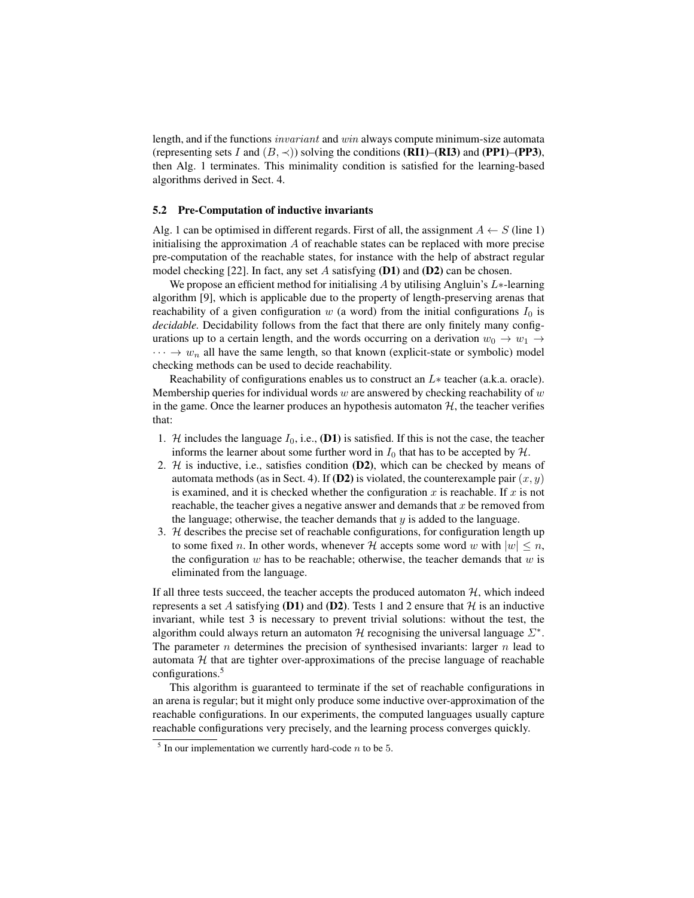length, and if the functions invariant and win always compute minimum-size automata (representing sets I and  $(B, \prec)$ ) solving the conditions (RI1)–(RI3) and (PP1)–(PP3), then Alg. 1 terminates. This minimality condition is satisfied for the learning-based algorithms derived in Sect. 4.

## 5.2 Pre-Computation of inductive invariants

Alg. 1 can be optimised in different regards. First of all, the assignment  $A \leftarrow S$  (line 1) initialising the approximation  $A$  of reachable states can be replaced with more precise pre-computation of the reachable states, for instance with the help of abstract regular model checking [22]. In fact, any set A satisfying  $(D1)$  and  $(D2)$  can be chosen.

We propose an efficient method for initialising A by utilising Angluin's L∗-learning algorithm [9], which is applicable due to the property of length-preserving arenas that reachability of a given configuration  $w$  (a word) from the initial configurations  $I_0$  is *decidable.* Decidability follows from the fact that there are only finitely many configurations up to a certain length, and the words occurring on a derivation  $w_0 \rightarrow w_1 \rightarrow$  $\cdots \rightarrow w_n$  all have the same length, so that known (explicit-state or symbolic) model checking methods can be used to decide reachability.

Reachability of configurations enables us to construct an L∗ teacher (a.k.a. oracle). Membership queries for individual words  $w$  are answered by checking reachability of  $w$ in the game. Once the learner produces an hypothesis automaton  $H$ , the teacher verifies that:

- 1. H includes the language  $I_0$ , i.e., (D1) is satisfied. If this is not the case, the teacher informs the learner about some further word in  $I_0$  that has to be accepted by  $H$ .
- 2.  $H$  is inductive, i.e., satisfies condition (D2), which can be checked by means of automata methods (as in Sect. 4). If (D2) is violated, the counterexample pair  $(x, y)$ is examined, and it is checked whether the configuration  $x$  is reachable. If  $x$  is not reachable, the teacher gives a negative answer and demands that  $x$  be removed from the language; otherwise, the teacher demands that  $y$  is added to the language.
- 3. H describes the precise set of reachable configurations, for configuration length up to some fixed n. In other words, whenever H accepts some word w with  $|w| \leq n$ , the configuration w has to be reachable; otherwise, the teacher demands that  $w$  is eliminated from the language.

If all three tests succeed, the teacher accepts the produced automaton  $H$ , which indeed represents a set A satisfying (D1) and (D2). Tests 1 and 2 ensure that  $H$  is an inductive invariant, while test 3 is necessary to prevent trivial solutions: without the test, the algorithm could always return an automaton H recognising the universal language  $\Sigma^*$ . The parameter  $n$  determines the precision of synthesised invariants: larger  $n$  lead to automata  $H$  that are tighter over-approximations of the precise language of reachable configurations.<sup>5</sup>

This algorithm is guaranteed to terminate if the set of reachable configurations in an arena is regular; but it might only produce some inductive over-approximation of the reachable configurations. In our experiments, the computed languages usually capture reachable configurations very precisely, and the learning process converges quickly.

 $<sup>5</sup>$  In our implementation we currently hard-code *n* to be 5.</sup>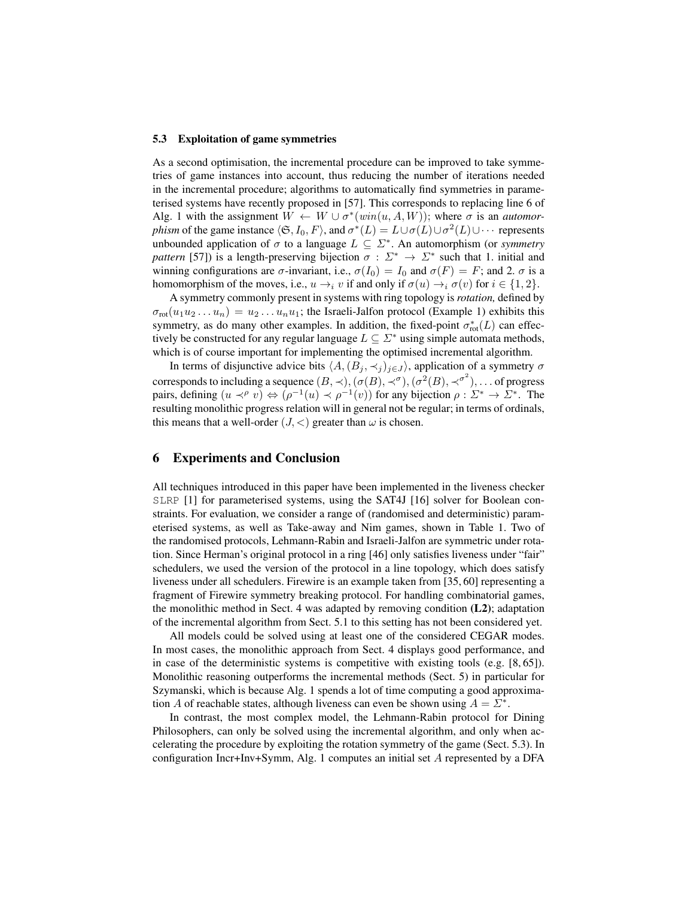#### 5.3 Exploitation of game symmetries

As a second optimisation, the incremental procedure can be improved to take symmetries of game instances into account, thus reducing the number of iterations needed in the incremental procedure; algorithms to automatically find symmetries in parameterised systems have recently proposed in [57]. This corresponds to replacing line 6 of Alg. 1 with the assignment  $W \leftarrow W \cup \sigma^*(win(u, A, W))$ ; where  $\sigma$  is an *automorphism* of the game instance  $\langle \mathfrak{S}, I_0, F \rangle$ , and  $\sigma^*(L) = L \cup \sigma(L) \cup \sigma^2(L) \cup \cdots$  represents unbounded application of  $\sigma$  to a language  $L \subseteq \Sigma^*$ . An automorphism (or *symmetry pattern* [57]) is a length-preserving bijection  $\sigma : \Sigma^* \to \Sigma^*$  such that 1. initial and winning configurations are  $\sigma$ -invariant, i.e.,  $\sigma(I_0) = I_0$  and  $\sigma(F) = F$ ; and 2.  $\sigma$  is a homomorphism of the moves, i.e.,  $u \rightarrow_i v$  if and only if  $\sigma(u) \rightarrow_i \sigma(v)$  for  $i \in \{1,2\}$ .

A symmetry commonly present in systems with ring topology is *rotation,* defined by  $\sigma_{\text{rot}}(u_1u_2...u_n) = u_2...u_nu_1$ ; the Israeli-Jalfon protocol (Example 1) exhibits this symmetry, as do many other examples. In addition, the fixed-point  $\sigma_{\text{rot}}^{*}(L)$  can effectively be constructed for any regular language  $L \subseteq \Sigma^*$  using simple automata methods, which is of course important for implementing the optimised incremental algorithm.

In terms of disjunctive advice bits  $\langle A, (B_j, \prec_j)_{j\in J} \rangle$ , application of a symmetry  $\sigma$ corresponds to including a sequence  $(B, \prec), (\sigma(B), \prec^{\sigma}), (\sigma^2(B), \prec^{\sigma^2}), \ldots$  of progress pairs, defining  $(u \prec^{\rho} v) \Leftrightarrow (\rho^{-1}(u) \prec \rho^{-1}(v))$  for any bijection  $\rho : \Sigma^* \to \Sigma^*$ . The resulting monolithic progress relation will in general not be regular; in terms of ordinals, this means that a well-order  $(J, <)$  greater than  $\omega$  is chosen.

## 6 Experiments and Conclusion

All techniques introduced in this paper have been implemented in the liveness checker SLRP [1] for parameterised systems, using the SAT4J [16] solver for Boolean constraints. For evaluation, we consider a range of (randomised and deterministic) parameterised systems, as well as Take-away and Nim games, shown in Table 1. Two of the randomised protocols, Lehmann-Rabin and Israeli-Jalfon are symmetric under rotation. Since Herman's original protocol in a ring [46] only satisfies liveness under "fair" schedulers, we used the version of the protocol in a line topology, which does satisfy liveness under all schedulers. Firewire is an example taken from [35, 60] representing a fragment of Firewire symmetry breaking protocol. For handling combinatorial games, the monolithic method in Sect. 4 was adapted by removing condition (L2); adaptation of the incremental algorithm from Sect. 5.1 to this setting has not been considered yet.

All models could be solved using at least one of the considered CEGAR modes. In most cases, the monolithic approach from Sect. 4 displays good performance, and in case of the deterministic systems is competitive with existing tools (e.g.  $[8, 65]$ ). Monolithic reasoning outperforms the incremental methods (Sect. 5) in particular for Szymanski, which is because Alg. 1 spends a lot of time computing a good approximation A of reachable states, although liveness can even be shown using  $A = \Sigma^*$ .

In contrast, the most complex model, the Lehmann-Rabin protocol for Dining Philosophers, can only be solved using the incremental algorithm, and only when accelerating the procedure by exploiting the rotation symmetry of the game (Sect. 5.3). In configuration Incr+Inv+Symm, Alg. 1 computes an initial set A represented by a DFA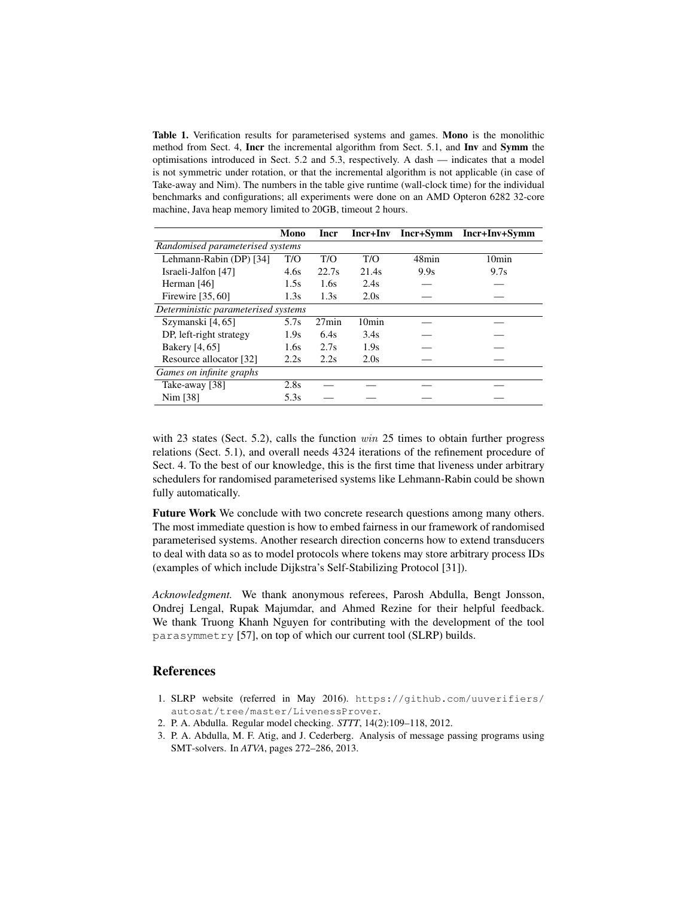Table 1. Verification results for parameterised systems and games. Mono is the monolithic method from Sect. 4, Incr the incremental algorithm from Sect. 5.1, and Inv and Symm the optimisations introduced in Sect. 5.2 and 5.3, respectively. A dash — indicates that a model is not symmetric under rotation, or that the incremental algorithm is not applicable (in case of Take-away and Nim). The numbers in the table give runtime (wall-clock time) for the individual benchmarks and configurations; all experiments were done on an AMD Opteron 6282 32-core machine, Java heap memory limited to 20GB, timeout 2 hours.

|                                     | Mono | <b>Incr</b> | Incr+Inv          | Incr+Symm | Incr+Inv+Symm     |  |  |
|-------------------------------------|------|-------------|-------------------|-----------|-------------------|--|--|
| Randomised parameterised systems    |      |             |                   |           |                   |  |  |
| Lehmann-Rabin (DP) [34]             | T/O  | T/O         | T/O               | 48min     | 10 <sub>min</sub> |  |  |
| Israeli-Jalfon [47]                 | 4.6s | 22.7s       | 21.4s             | 9.9s      | 9.7s              |  |  |
| Herman [46]                         | 1.5s | 1.6s        | 2.4s              |           |                   |  |  |
| Firewire [35, 60]                   | 1.3s | 1.3s        | 2.0s              |           |                   |  |  |
| Deterministic parameterised systems |      |             |                   |           |                   |  |  |
| Szymanski [4,65]                    | 5.7s | 27min       | 10 <sub>min</sub> |           |                   |  |  |
| DP, left-right strategy             | 1.9s | 6.4s        | 3.4s              |           |                   |  |  |
| Bakery [4, 65]                      | 1.6s | 2.7s        | 1.9s              |           |                   |  |  |
| Resource allocator [32]             | 2.2s | 2.2s        | 2.0s              |           |                   |  |  |
| Games on infinite graphs            |      |             |                   |           |                   |  |  |
| Take-away [38]                      | 2.8s |             |                   |           |                   |  |  |
| Nim [38]                            | 5.3s |             |                   |           |                   |  |  |

with 23 states (Sect. 5.2), calls the function *win* 25 times to obtain further progress relations (Sect. 5.1), and overall needs 4324 iterations of the refinement procedure of Sect. 4. To the best of our knowledge, this is the first time that liveness under arbitrary schedulers for randomised parameterised systems like Lehmann-Rabin could be shown fully automatically.

Future Work We conclude with two concrete research questions among many others. The most immediate question is how to embed fairness in our framework of randomised parameterised systems. Another research direction concerns how to extend transducers to deal with data so as to model protocols where tokens may store arbitrary process IDs (examples of which include Dijkstra's Self-Stabilizing Protocol [31]).

*Acknowledgment.* We thank anonymous referees, Parosh Abdulla, Bengt Jonsson, Ondrej Lengal, Rupak Majumdar, and Ahmed Rezine for their helpful feedback. We thank Truong Khanh Nguyen for contributing with the development of the tool parasymmetry [57], on top of which our current tool (SLRP) builds.

# **References**

- 1. SLRP website (referred in May 2016). https://github.com/uuverifiers/ autosat/tree/master/LivenessProver.
- 2. P. A. Abdulla. Regular model checking. *STTT*, 14(2):109–118, 2012.
- 3. P. A. Abdulla, M. F. Atig, and J. Cederberg. Analysis of message passing programs using SMT-solvers. In *ATVA*, pages 272–286, 2013.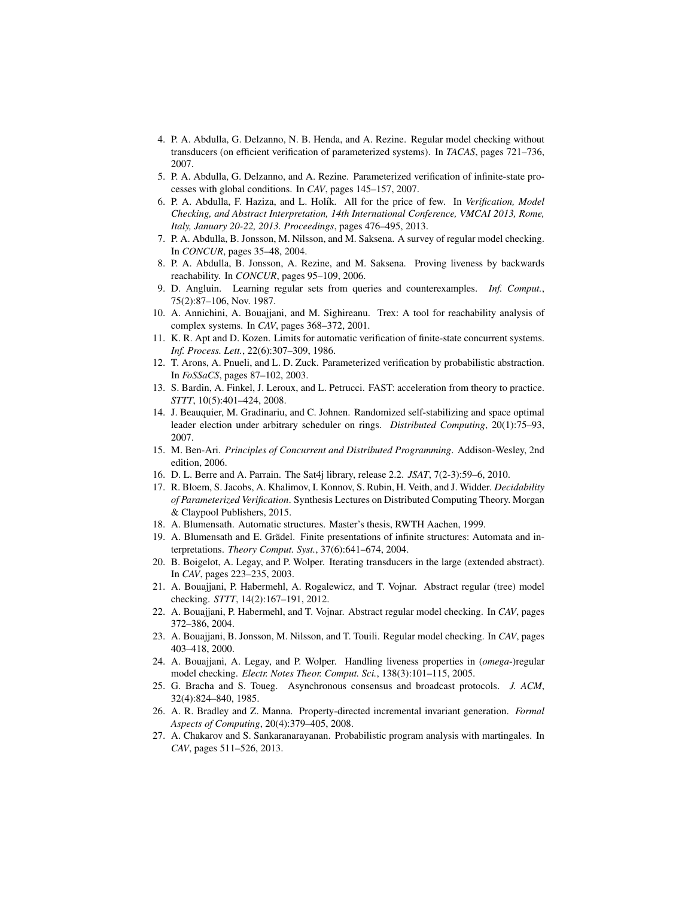- 4. P. A. Abdulla, G. Delzanno, N. B. Henda, and A. Rezine. Regular model checking without transducers (on efficient verification of parameterized systems). In *TACAS*, pages 721–736, 2007.
- 5. P. A. Abdulla, G. Delzanno, and A. Rezine. Parameterized verification of infinite-state processes with global conditions. In *CAV*, pages 145–157, 2007.
- 6. P. A. Abdulla, F. Haziza, and L. Holík. All for the price of few. In *Verification, Model Checking, and Abstract Interpretation, 14th International Conference, VMCAI 2013, Rome, Italy, January 20-22, 2013. Proceedings*, pages 476–495, 2013.
- 7. P. A. Abdulla, B. Jonsson, M. Nilsson, and M. Saksena. A survey of regular model checking. In *CONCUR*, pages 35–48, 2004.
- 8. P. A. Abdulla, B. Jonsson, A. Rezine, and M. Saksena. Proving liveness by backwards reachability. In *CONCUR*, pages 95–109, 2006.
- 9. D. Angluin. Learning regular sets from queries and counterexamples. *Inf. Comput.*, 75(2):87–106, Nov. 1987.
- 10. A. Annichini, A. Bouajjani, and M. Sighireanu. Trex: A tool for reachability analysis of complex systems. In *CAV*, pages 368–372, 2001.
- 11. K. R. Apt and D. Kozen. Limits for automatic verification of finite-state concurrent systems. *Inf. Process. Lett.*, 22(6):307–309, 1986.
- 12. T. Arons, A. Pnueli, and L. D. Zuck. Parameterized verification by probabilistic abstraction. In *FoSSaCS*, pages 87–102, 2003.
- 13. S. Bardin, A. Finkel, J. Leroux, and L. Petrucci. FAST: acceleration from theory to practice. *STTT*, 10(5):401–424, 2008.
- 14. J. Beauquier, M. Gradinariu, and C. Johnen. Randomized self-stabilizing and space optimal leader election under arbitrary scheduler on rings. *Distributed Computing*, 20(1):75–93, 2007.
- 15. M. Ben-Ari. *Principles of Concurrent and Distributed Programming*. Addison-Wesley, 2nd edition, 2006.
- 16. D. L. Berre and A. Parrain. The Sat4j library, release 2.2. *JSAT*, 7(2-3):59–6, 2010.
- 17. R. Bloem, S. Jacobs, A. Khalimov, I. Konnov, S. Rubin, H. Veith, and J. Widder. *Decidability of Parameterized Verification*. Synthesis Lectures on Distributed Computing Theory. Morgan & Claypool Publishers, 2015.
- 18. A. Blumensath. Automatic structures. Master's thesis, RWTH Aachen, 1999.
- 19. A. Blumensath and E. Grädel. Finite presentations of infinite structures: Automata and interpretations. *Theory Comput. Syst.*, 37(6):641–674, 2004.
- 20. B. Boigelot, A. Legay, and P. Wolper. Iterating transducers in the large (extended abstract). In *CAV*, pages 223–235, 2003.
- 21. A. Bouajjani, P. Habermehl, A. Rogalewicz, and T. Vojnar. Abstract regular (tree) model checking. *STTT*, 14(2):167–191, 2012.
- 22. A. Bouajjani, P. Habermehl, and T. Vojnar. Abstract regular model checking. In *CAV*, pages 372–386, 2004.
- 23. A. Bouajjani, B. Jonsson, M. Nilsson, and T. Touili. Regular model checking. In *CAV*, pages 403–418, 2000.
- 24. A. Bouajjani, A. Legay, and P. Wolper. Handling liveness properties in (*omega*-)regular model checking. *Electr. Notes Theor. Comput. Sci.*, 138(3):101–115, 2005.
- 25. G. Bracha and S. Toueg. Asynchronous consensus and broadcast protocols. *J. ACM*, 32(4):824–840, 1985.
- 26. A. R. Bradley and Z. Manna. Property-directed incremental invariant generation. *Formal Aspects of Computing*, 20(4):379–405, 2008.
- 27. A. Chakarov and S. Sankaranarayanan. Probabilistic program analysis with martingales. In *CAV*, pages 511–526, 2013.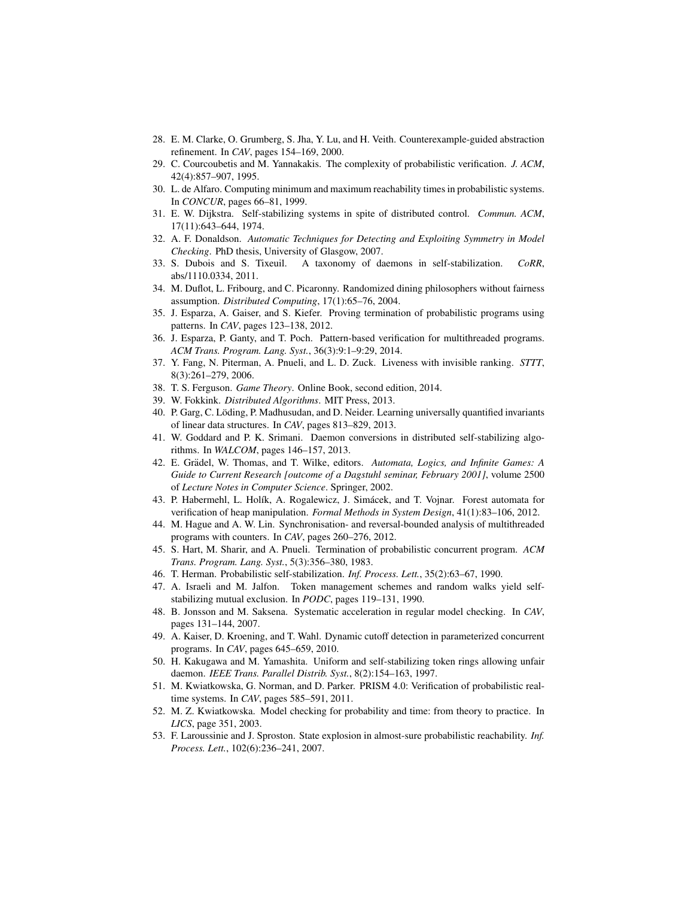- 28. E. M. Clarke, O. Grumberg, S. Jha, Y. Lu, and H. Veith. Counterexample-guided abstraction refinement. In *CAV*, pages 154–169, 2000.
- 29. C. Courcoubetis and M. Yannakakis. The complexity of probabilistic verification. *J. ACM*, 42(4):857–907, 1995.
- 30. L. de Alfaro. Computing minimum and maximum reachability times in probabilistic systems. In *CONCUR*, pages 66–81, 1999.
- 31. E. W. Dijkstra. Self-stabilizing systems in spite of distributed control. *Commun. ACM*, 17(11):643–644, 1974.
- 32. A. F. Donaldson. *Automatic Techniques for Detecting and Exploiting Symmetry in Model Checking*. PhD thesis, University of Glasgow, 2007.
- 33. S. Dubois and S. Tixeuil. A taxonomy of daemons in self-stabilization. *CoRR*, abs/1110.0334, 2011.
- 34. M. Duflot, L. Fribourg, and C. Picaronny. Randomized dining philosophers without fairness assumption. *Distributed Computing*, 17(1):65–76, 2004.
- 35. J. Esparza, A. Gaiser, and S. Kiefer. Proving termination of probabilistic programs using patterns. In *CAV*, pages 123–138, 2012.
- 36. J. Esparza, P. Ganty, and T. Poch. Pattern-based verification for multithreaded programs. *ACM Trans. Program. Lang. Syst.*, 36(3):9:1–9:29, 2014.
- 37. Y. Fang, N. Piterman, A. Pnueli, and L. D. Zuck. Liveness with invisible ranking. *STTT*, 8(3):261–279, 2006.
- 38. T. S. Ferguson. *Game Theory*. Online Book, second edition, 2014.
- 39. W. Fokkink. *Distributed Algorithms*. MIT Press, 2013.
- 40. P. Garg, C. Löding, P. Madhusudan, and D. Neider. Learning universally quantified invariants of linear data structures. In *CAV*, pages 813–829, 2013.
- 41. W. Goddard and P. K. Srimani. Daemon conversions in distributed self-stabilizing algorithms. In *WALCOM*, pages 146–157, 2013.
- 42. E. Grädel, W. Thomas, and T. Wilke, editors. Automata, Logics, and Infinite Games: A *Guide to Current Research [outcome of a Dagstuhl seminar, February 2001]*, volume 2500 of *Lecture Notes in Computer Science*. Springer, 2002.
- 43. P. Habermehl, L. Holík, A. Rogalewicz, J. Simácek, and T. Vojnar. Forest automata for verification of heap manipulation. *Formal Methods in System Design*, 41(1):83–106, 2012.
- 44. M. Hague and A. W. Lin. Synchronisation- and reversal-bounded analysis of multithreaded programs with counters. In *CAV*, pages 260–276, 2012.
- 45. S. Hart, M. Sharir, and A. Pnueli. Termination of probabilistic concurrent program. *ACM Trans. Program. Lang. Syst.*, 5(3):356–380, 1983.
- 46. T. Herman. Probabilistic self-stabilization. *Inf. Process. Lett.*, 35(2):63–67, 1990.
- 47. A. Israeli and M. Jalfon. Token management schemes and random walks yield selfstabilizing mutual exclusion. In *PODC*, pages 119–131, 1990.
- 48. B. Jonsson and M. Saksena. Systematic acceleration in regular model checking. In *CAV*, pages 131–144, 2007.
- 49. A. Kaiser, D. Kroening, and T. Wahl. Dynamic cutoff detection in parameterized concurrent programs. In *CAV*, pages 645–659, 2010.
- 50. H. Kakugawa and M. Yamashita. Uniform and self-stabilizing token rings allowing unfair daemon. *IEEE Trans. Parallel Distrib. Syst.*, 8(2):154–163, 1997.
- 51. M. Kwiatkowska, G. Norman, and D. Parker. PRISM 4.0: Verification of probabilistic realtime systems. In *CAV*, pages 585–591, 2011.
- 52. M. Z. Kwiatkowska. Model checking for probability and time: from theory to practice. In *LICS*, page 351, 2003.
- 53. F. Laroussinie and J. Sproston. State explosion in almost-sure probabilistic reachability. *Inf. Process. Lett.*, 102(6):236–241, 2007.